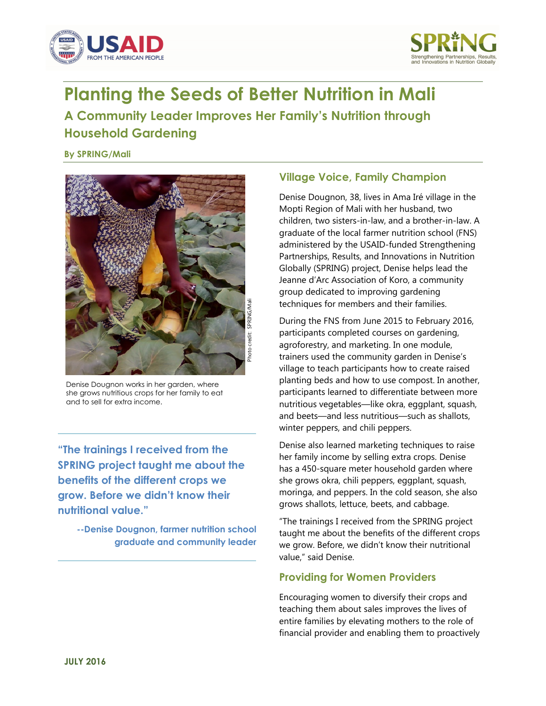



# **Planting the Seeds of Better Nutrition in Mali**

## **A Community Leader Improves Her Family's Nutrition through Household Gardening**

**By SPRING/Mali** 



 Denise Dougnon works in her garden, where she grows nutritious crops for her family to eat

**SPRING project taught me about the benefits of the different crops we grow. Before we didn't know their nutritional value."** 

**--Denise Dougnon, farmer nutrition school graduate and community leader** 

## **Village Voice, Family Champion**

Denise Dougnon, 38, lives in Ama Iré village in the Mopti Region of Mali with her husband, two children, two sisters-in-law, and a brother-in-law. A graduate of the local farmer nutrition school (FNS) administered by the USAID-funded Strengthening Partnerships, Results, and Innovations in Nutrition Globally (SPRING) project, Denise helps lead the Jeanne d'Arc Association of Koro, a community group dedicated to improving gardening techniques for members and their families.

During the FNS from June 2015 to February 2016, participants completed courses on gardening, agroforestry, and marketing. In one module, trainers used the community garden in Denise's village to teach participants how to create raised planting beds and how to use compost. In another, participants learned to differentiate between more and to sell for extra income.<br>
nutritious vegetables—like okra, eggplant, squash, and beets—and less nutritious—such as shallots, winter peppers, and chili peppers.

Denise also learned marketing techniques to raise **"The trainings I received from the**  has a 450-square meter household garden where she grows okra, chili peppers, eggplant, squash, moringa, and peppers. In the cold season, she also grows shallots, lettuce, beets, and cabbage.

> "The trainings I received from the SPRING project taught me about the benefits of the different crops we grow. Before, we didn't know their nutritional value," said Denise.

### **Providing for Women Providers**

Encouraging women to diversify their crops and teaching them about sales improves the lives of entire families by elevating mothers to the role of financial provider and enabling them to proactively